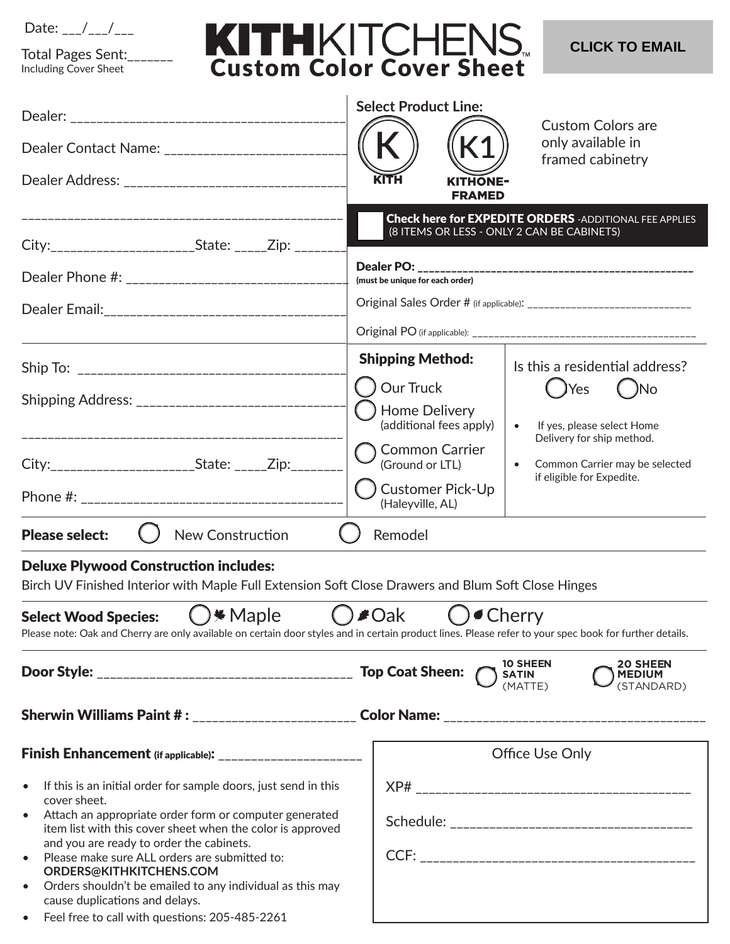| l )ater |  |  |  |
|---------|--|--|--|
|---------|--|--|--|

Total Pages Sent:\_\_\_\_\_\_\_ Including Cover Sheet

## KITHKITCHENS

**CLICK TO EMAIL** 

|                                                                                                                                                                                                                                                                                                                                                                                                                                                                                    | <b>Select Product Line:</b>                                                                                  | <b>Custom Colors are</b>                                                                                                                                              |  |  |  |  |
|------------------------------------------------------------------------------------------------------------------------------------------------------------------------------------------------------------------------------------------------------------------------------------------------------------------------------------------------------------------------------------------------------------------------------------------------------------------------------------|--------------------------------------------------------------------------------------------------------------|-----------------------------------------------------------------------------------------------------------------------------------------------------------------------|--|--|--|--|
| Dealer Contact Name: __________________________                                                                                                                                                                                                                                                                                                                                                                                                                                    |                                                                                                              | only available in                                                                                                                                                     |  |  |  |  |
|                                                                                                                                                                                                                                                                                                                                                                                                                                                                                    | framed cabinetry<br><b>KITHONE-</b><br><b>FRAMED</b>                                                         |                                                                                                                                                                       |  |  |  |  |
| City:_______________________State: _____Zip: _______                                                                                                                                                                                                                                                                                                                                                                                                                               | <b>Check here for EXPEDITE ORDERS</b> - ADDITIONAL FEE APPLIES<br>(8 ITEMS OR LESS - ONLY 2 CAN BE CABINETS) |                                                                                                                                                                       |  |  |  |  |
|                                                                                                                                                                                                                                                                                                                                                                                                                                                                                    | (must be unique for each order)                                                                              |                                                                                                                                                                       |  |  |  |  |
|                                                                                                                                                                                                                                                                                                                                                                                                                                                                                    |                                                                                                              |                                                                                                                                                                       |  |  |  |  |
|                                                                                                                                                                                                                                                                                                                                                                                                                                                                                    |                                                                                                              |                                                                                                                                                                       |  |  |  |  |
|                                                                                                                                                                                                                                                                                                                                                                                                                                                                                    | <b>Shipping Method:</b>                                                                                      | Is this a residential address?                                                                                                                                        |  |  |  |  |
| Shipping Address: _______________________________                                                                                                                                                                                                                                                                                                                                                                                                                                  | Our Truck<br><b>Home Delivery</b><br>(additional fees apply)                                                 | ( )Yes<br>$($ )No<br>If yes, please select Home<br>$\bullet$<br>Delivery for ship method.<br>Common Carrier may be selected<br>$\bullet$<br>if eligible for Expedite. |  |  |  |  |
| City:________________________State: _____Zip:________                                                                                                                                                                                                                                                                                                                                                                                                                              | <b>Common Carrier</b><br>(Ground or LTL)                                                                     |                                                                                                                                                                       |  |  |  |  |
|                                                                                                                                                                                                                                                                                                                                                                                                                                                                                    | <b>Customer Pick-Up</b><br>(Haleyville, AL)                                                                  |                                                                                                                                                                       |  |  |  |  |
| <b>Please select:</b><br>New Construction                                                                                                                                                                                                                                                                                                                                                                                                                                          | Remodel                                                                                                      |                                                                                                                                                                       |  |  |  |  |
| <b>Deluxe Plywood Construction includes:</b><br>Birch UV Finished Interior with Maple Full Extension Soft Close Drawers and Blum Soft Close Hinges                                                                                                                                                                                                                                                                                                                                 |                                                                                                              |                                                                                                                                                                       |  |  |  |  |
| Select Wood Species: ( ) * Maple ( ) # Oak ( ) ● Cherry<br>Please note: Oak and Cherry are only available on certain door styles and in certain product lines. Please refer to your spec book for further details.                                                                                                                                                                                                                                                                 |                                                                                                              |                                                                                                                                                                       |  |  |  |  |
| <b>20 SHEEN</b><br><b>10 SHEEN</b><br>$\bigcirc$ satin<br>(matte)<br><b>MEDIUM</b><br>(STANDARD)                                                                                                                                                                                                                                                                                                                                                                                   |                                                                                                              |                                                                                                                                                                       |  |  |  |  |
|                                                                                                                                                                                                                                                                                                                                                                                                                                                                                    |                                                                                                              |                                                                                                                                                                       |  |  |  |  |
| <b>Finish Enhancement</b> (if applicable): ______________________                                                                                                                                                                                                                                                                                                                                                                                                                  |                                                                                                              | Office Use Only                                                                                                                                                       |  |  |  |  |
| If this is an initial order for sample doors, just send in this<br>$\bullet$<br>cover sheet.<br>Attach an appropriate order form or computer generated<br>$\bullet$<br>item list with this cover sheet when the color is approved<br>and you are ready to order the cabinets.<br>Please make sure ALL orders are submitted to:<br>$\bullet$<br>ORDERS@KITHKITCHENS.COM<br>Orders shouldn't be emailed to any individual as this may<br>$\bullet$<br>cause duplications and delays. |                                                                                                              |                                                                                                                                                                       |  |  |  |  |

• Feel free to call with questions: 205-485-2261